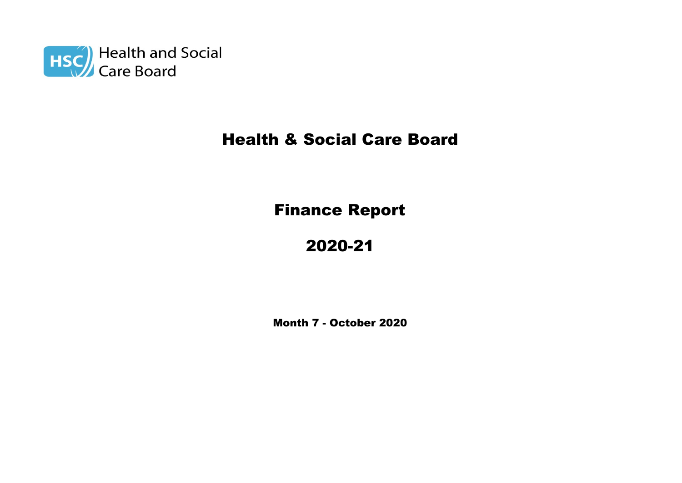

# Health & Social Care Board

# Finance Report

# 2020-21

Month 7 - October 2020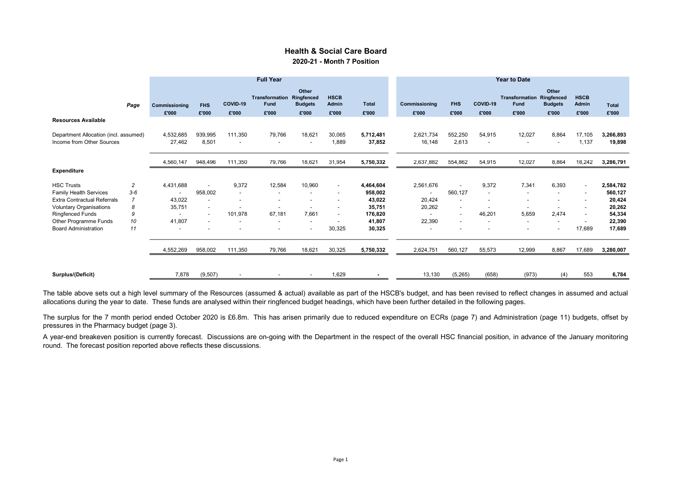### Health & Social Care Board 2020-21 - Month 7 Position

|                                                                                                                                                                                                        |                                  | <b>Full Year</b>                                     |                                                                                                                                              |                             |                                 |                                                |                                                                                                                        |                                                                                      | <b>Year to Date</b>                                                                                                                      |                                                                                              |                                                                                                               |                                                                                                              |                                                                                                                                         |                                                                                                                                                              |                                                                                     |
|--------------------------------------------------------------------------------------------------------------------------------------------------------------------------------------------------------|----------------------------------|------------------------------------------------------|----------------------------------------------------------------------------------------------------------------------------------------------|-----------------------------|---------------------------------|------------------------------------------------|------------------------------------------------------------------------------------------------------------------------|--------------------------------------------------------------------------------------|------------------------------------------------------------------------------------------------------------------------------------------|----------------------------------------------------------------------------------------------|---------------------------------------------------------------------------------------------------------------|--------------------------------------------------------------------------------------------------------------|-----------------------------------------------------------------------------------------------------------------------------------------|--------------------------------------------------------------------------------------------------------------------------------------------------------------|-------------------------------------------------------------------------------------|
|                                                                                                                                                                                                        | Page                             | Commissioning<br>£'000                               | <b>FHS</b><br>£'000                                                                                                                          | COVID-19<br>£'000           | Transformation<br>Fund<br>£'000 | Other<br>Ringfenced<br><b>Budgets</b><br>£'000 | <b>HSCB</b><br>Admin<br>£'000                                                                                          | <b>Total</b><br>£'000                                                                | Commissioning<br>£'000                                                                                                                   | <b>FHS</b><br>£'000                                                                          | COVID-19<br>£'000                                                                                             | <b>Transformation Ringfenced</b><br>Fund<br>£'000                                                            | Other<br><b>Budgets</b><br>£'000                                                                                                        | <b>HSCB</b><br>Admin<br>£'000                                                                                                                                | <b>Total</b><br>£'000                                                               |
| <b>Resources Available</b>                                                                                                                                                                             |                                  |                                                      |                                                                                                                                              |                             |                                 |                                                |                                                                                                                        |                                                                                      |                                                                                                                                          |                                                                                              |                                                                                                               |                                                                                                              |                                                                                                                                         |                                                                                                                                                              |                                                                                     |
| Department Allocation (incl. assumed)<br>Income from Other Sources                                                                                                                                     |                                  | 4,532,685<br>27,462                                  | 939,995<br>8,501                                                                                                                             | 111,350                     | 79,766                          | 18,621                                         | 30,065<br>1,889                                                                                                        | 5,712,481<br>37,852                                                                  | 2,621,734<br>16,148                                                                                                                      | 552,250<br>2,613                                                                             | 54,915<br>$\overline{\phantom{a}}$                                                                            | 12,027<br>$\overline{\phantom{a}}$                                                                           | 8,864<br>$\overline{\phantom{a}}$                                                                                                       | 17,105<br>1,137                                                                                                                                              | 3,266,893<br>19,898                                                                 |
|                                                                                                                                                                                                        |                                  | 4,560,147                                            | 948,496                                                                                                                                      | 111,350                     | 79,766                          | 18,621                                         | 31,954                                                                                                                 | 5,750,332                                                                            | 2,637,882                                                                                                                                | 554,862                                                                                      | 54,915                                                                                                        | 12,027                                                                                                       | 8,864                                                                                                                                   | 18,242                                                                                                                                                       | 3,286,791                                                                           |
| <b>Expenditure</b>                                                                                                                                                                                     |                                  |                                                      |                                                                                                                                              |                             |                                 |                                                |                                                                                                                        |                                                                                      |                                                                                                                                          |                                                                                              |                                                                                                               |                                                                                                              |                                                                                                                                         |                                                                                                                                                              |                                                                                     |
| <b>HSC Trusts</b><br><b>Family Health Services</b><br><b>Extra Contractual Referrals</b><br>Voluntary Organisations<br><b>Ringfenced Funds</b><br>Other Programme Funds<br><b>Board Administration</b> | 2<br>$3-6$<br>8<br>9<br>10<br>11 | 4,431,688<br>43,022<br>35,751<br>41,807<br>4,552,269 | 958,002<br>$\overline{\phantom{a}}$<br>$\overline{\phantom{a}}$<br>$\sim$<br>$\overline{\phantom{a}}$<br>$\overline{\phantom{a}}$<br>958,002 | 9,372<br>101,978<br>111,350 | 12,584<br>67.181<br>79,766      | 10,960<br>7,661<br>18,621                      | $\overline{\phantom{a}}$<br>$\overline{\phantom{a}}$<br>$\overline{\phantom{a}}$<br>$\blacksquare$<br>30,325<br>30,325 | 4,464,604<br>958,002<br>43,022<br>35,751<br>176,820<br>41,807<br>30,325<br>5,750,332 | 2,561,676<br>$\overline{\phantom{a}}$<br>20,424<br>20,262<br>$\overline{\phantom{a}}$<br>22,390<br>$\overline{\phantom{a}}$<br>2,624,751 | 560,127<br>$\overline{\phantom{a}}$<br>$\overline{\phantom{a}}$<br>$\overline{a}$<br>560,127 | 9,372<br>$\overline{\phantom{a}}$<br>$\overline{\phantom{0}}$<br>46,201<br>$\overline{\phantom{a}}$<br>55,573 | 7,341<br>$\overline{\phantom{a}}$<br>$\overline{\phantom{a}}$<br>5,659<br>$\overline{\phantom{a}}$<br>12,999 | 6,393<br>$\overline{\phantom{a}}$<br>$\overline{\phantom{a}}$<br>2,474<br>$\overline{\phantom{a}}$<br>$\overline{\phantom{a}}$<br>8,867 | $\overline{\phantom{a}}$<br>$\overline{\phantom{a}}$<br>$\overline{\phantom{a}}$<br>$\overline{\phantom{a}}$<br>$\overline{\phantom{a}}$<br>17,689<br>17,689 | 2,584,782<br>560,127<br>20,424<br>20,262<br>54,334<br>22,390<br>17,689<br>3,280,007 |
| Surplus/(Deficit)                                                                                                                                                                                      |                                  | 7,878                                                | (9, 507)                                                                                                                                     |                             |                                 |                                                | 1.629                                                                                                                  |                                                                                      | 13,130                                                                                                                                   | (5,265)                                                                                      | (658)                                                                                                         | (973)                                                                                                        | (4)                                                                                                                                     | 553                                                                                                                                                          | 6,784                                                                               |

The table above sets out a high level summary of the Resources (assumed & actual) available as part of the HSCB's budget, and has been revised to reflect changes in assumed and actual allocations during the year to date. These funds are analysed within their ringfenced budget headings, which have been further detailed in the following pages.

The surplus for the 7 month period ended October 2020 is £6.8m. This has arisen primarily due to reduced expenditure on ECRs (page 7) and Administration (page 11) budgets, offset by pressures in the Pharmacy budget (page 3).

A year-end breakeven position is currently forecast. Discussions are on-going with the Department in the respect of the overall HSC financial position, in advance of the January monitoring round. The forecast position reported above reflects these discussions.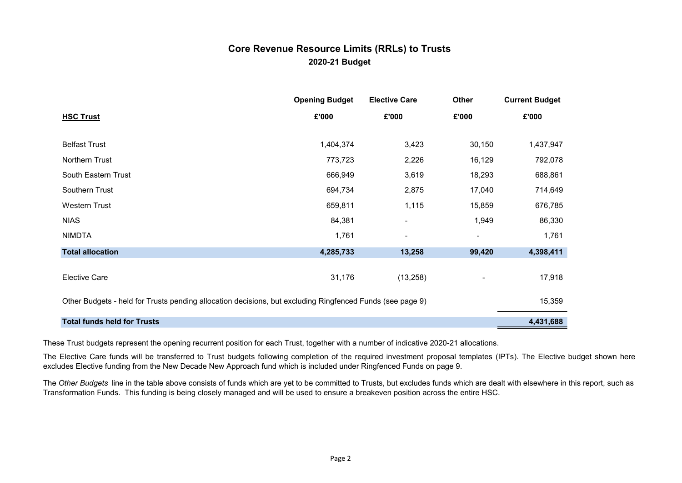## 2020-21 Budget Core Revenue Resource Limits (RRLs) to Trusts

|                                                                                                           | <b>Opening Budget</b> | <b>Elective Care</b> | Other  | <b>Current Budget</b> |  |  |  |
|-----------------------------------------------------------------------------------------------------------|-----------------------|----------------------|--------|-----------------------|--|--|--|
| <b>HSC Trust</b>                                                                                          | £'000                 | £'000                | £'000  | £'000                 |  |  |  |
|                                                                                                           |                       |                      |        |                       |  |  |  |
| <b>Belfast Trust</b>                                                                                      | 1,404,374             | 3,423                | 30,150 | 1,437,947             |  |  |  |
| Northern Trust                                                                                            | 773,723               | 2,226                | 16,129 | 792,078               |  |  |  |
| South Eastern Trust                                                                                       | 666,949               | 3,619                | 18,293 | 688,861               |  |  |  |
| Southern Trust                                                                                            | 694,734               | 2,875                | 17,040 | 714,649               |  |  |  |
| Western Trust                                                                                             | 659,811               | 1,115                | 15,859 | 676,785               |  |  |  |
| <b>NIAS</b>                                                                                               | 84,381                |                      | 1,949  | 86,330                |  |  |  |
| <b>NIMDTA</b>                                                                                             | 1,761                 | ۰                    | -      | 1,761                 |  |  |  |
| <b>Total allocation</b>                                                                                   | 4,285,733             | 13,258               | 99,420 | 4,398,411             |  |  |  |
|                                                                                                           |                       |                      |        |                       |  |  |  |
| <b>Elective Care</b>                                                                                      | 31,176                | (13,258)             |        | 17,918                |  |  |  |
| Other Budgets - held for Trusts pending allocation decisions, but excluding Ringfenced Funds (see page 9) |                       |                      |        |                       |  |  |  |
|                                                                                                           |                       |                      |        | 15,359                |  |  |  |
| <b>Total funds held for Trusts</b>                                                                        |                       |                      |        | 4,431,688             |  |  |  |

These Trust budgets represent the opening recurrent position for each Trust, together with a number of indicative 2020-21 allocations.

The Elective Care funds will be transferred to Trust budgets following completion of the required investment proposal templates (IPTs). The Elective budget shown here excludes Elective funding from the New Decade New Approach fund which is included under Ringfenced Funds on page 9.

The Other Budgets line in the table above consists of funds which are yet to be committed to Trusts, but excludes funds which are dealt with elsewhere in this report, such as Transformation Funds. This funding is being closely managed and will be used to ensure a breakeven position across the entire HSC.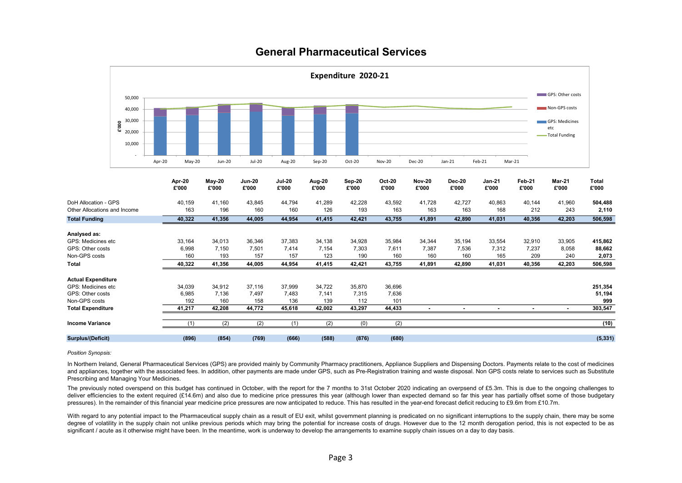

## General Pharmaceutical Services

Position Synopsis:

In Northern Ireland, General Pharmaceutical Services (GPS) are provided mainly by Community Pharmacy practitioners, Appliance Suppliers and Dispensing Doctors. Payments relate to the cost of medicines and appliances, together with the associated fees. In addition, other payments are made under GPS, such as Pre-Registration training and waste disposal. Non GPS costs relate to services such as Substitute Prescribing and Managing Your Medicines.

The previously noted overspend on this budget has continued in October, with the report for the 7 months to 31st October 2020 indicating an overpsend of £5.3m. This is due to the ongoing challenges to deliver efficiencies to the extent required (£14.6m) and also due to medicine price pressures this year (although lower than expected demand so far this year has partially offset some of those budgetary pressures). In the remainder of this financial year medicine price pressures are now anticipated to reduce. This has resulted in the year-end forecast deficit reducing to £9.6m from £10.7m.

With regard to any potential impact to the Pharmaceutical supply chain as a result of EU exit, whilst government planning is predicated on no significant interruptions to the supply chain, there may be some degree of volatility in the supply chain not unlike previous periods which may bring the potential for increase costs of drugs. However due to the 12 month derogation period, this is not expected to be as significant / acute as it otherwise might have been. In the meantime, work is underway to develop the arrangements to examine supply chain issues on a day to day basis.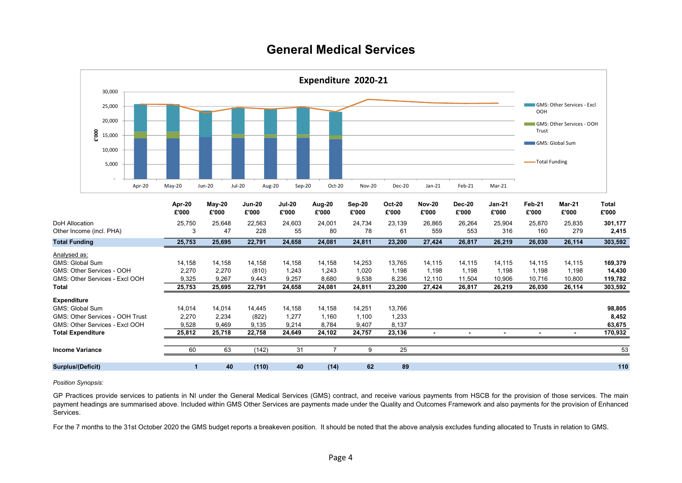# General Medical Services



Position Synopsis:

GP Practices provide services to patients in NI under the General Medical Services (GMS) contract, and receive various payments from HSCB for the provision of those services. The main payment headings are summarised above. Included within GMS Other Services are payments made under the Quality and Outcomes Framework and also payments for the provision of Enhanced Services.

For the 7 months to the 31st October 2020 the GMS budget reports a breakeven position. It should be noted that the above analysis excludes funding allocated to Trusts in relation to GMS.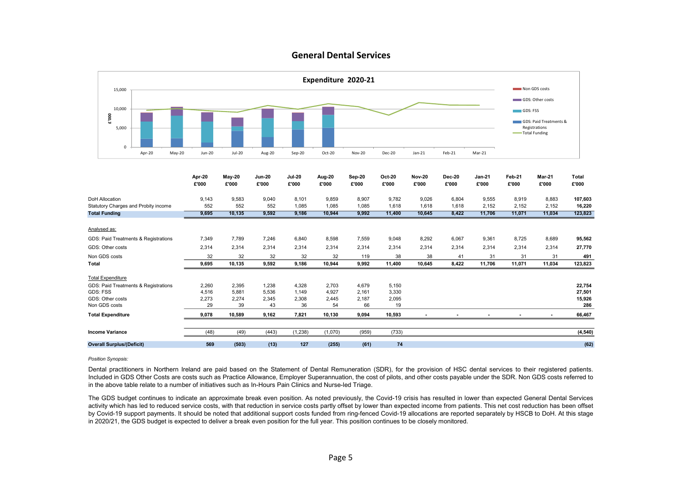### General Dental Services



#### Position Synopsis:

Dental practitioners in Northern Ireland are paid based on the Statement of Dental Remuneration (SDR), for the provision of HSC dental services to their registered patients. Included in GDS Other Costs are costs such as Practice Allowance, Employer Superannuation, the cost of pilots, and other costs payable under the SDR. Non GDS costs referred to in the above table relate to a number of initiatives such as In-Hours Pain Clinics and Nurse-led Triage.

The GDS budget continues to indicate an approximate break even position. As noted previously, the Covid-19 crisis has resulted in lower than expected General Dental Services activity which has led to reduced service costs, with that reduction in service costs partly offset by lower than expected income from patients. This net cost reduction has been offset by Covid-19 support payments. It should be noted that additional support costs funded from ring-fenced Covid-19 allocations are reported separately by HSCB to DoH. At this stage in 2020/21, the GDS budget is expected to deliver a break even position for the full year. This position continues to be closely monitored.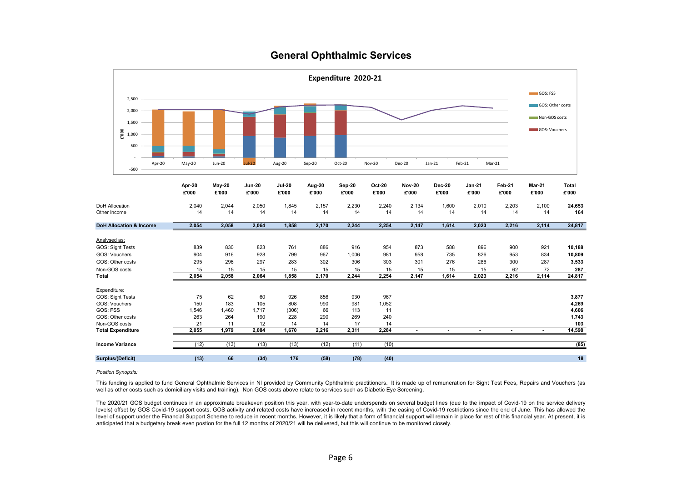### General Ophthalmic Services

|                       |                                    |        |                 |                 |                        |                        |                 | Expenditure 2020-21 |                 |                        |                        |                        |                 |                  |                |
|-----------------------|------------------------------------|--------|-----------------|-----------------|------------------------|------------------------|-----------------|---------------------|-----------------|------------------------|------------------------|------------------------|-----------------|------------------|----------------|
|                       | 2,500                              |        |                 |                 |                        |                        |                 |                     |                 |                        |                        |                        |                 | GOS: FSS         |                |
|                       |                                    |        |                 |                 |                        |                        |                 |                     |                 |                        |                        |                        |                 | GOS: Other costs |                |
|                       | 2,000                              |        |                 |                 |                        |                        |                 |                     |                 |                        |                        |                        |                 | Non-GOS costs    |                |
|                       | 1,500                              |        |                 |                 |                        |                        |                 |                     |                 |                        |                        |                        |                 |                  |                |
|                       | E'000<br>1,000                     |        |                 |                 |                        |                        |                 |                     |                 |                        |                        |                        |                 | GOS: Vouchers    |                |
|                       | 500                                |        |                 |                 |                        |                        |                 |                     |                 |                        |                        |                        |                 |                  |                |
|                       |                                    |        |                 |                 |                        |                        |                 |                     |                 |                        |                        |                        |                 |                  |                |
|                       | $-500$                             | Apr-20 | May-20          | Jun-20          | $Jul-20$               | Aug-20                 | Sep-20          | Oct-20              | <b>Nov-20</b>   | <b>Dec-20</b>          | $Jan-21$               | Feb-21                 | Mar-21          |                  |                |
|                       |                                    |        | Apr-20<br>£'000 | May-20<br>£'000 | <b>Jun-20</b><br>£'000 | <b>Jul-20</b><br>£'000 | Aug-20<br>£'000 | Sep-20<br>£'000     | Oct-20<br>£'000 | <b>Nov-20</b><br>£'000 | <b>Dec-20</b><br>£'000 | <b>Jan-21</b><br>£'000 | Feb-21<br>£'000 | Mar-21<br>£'000  | Total<br>£'000 |
| <b>DoH Allocation</b> |                                    |        | 2,040           | 2,044           | 2,050                  | 1,845                  | 2,157           | 2,230               | 2,240           | 2,134                  | 1,600                  | 2,010                  | 2,203           | 2,100            | 24,653         |
| Other Income          |                                    |        | 14              | 14              | 14                     | 14                     | 14              | 14                  | 14              | 14                     | 14                     | 14                     | 14              | 14               | 164            |
|                       | <b>DoH Allocation &amp; Income</b> |        | 2,054           | 2,058           | 2,064                  | 1,858                  | 2,170           | 2,244               | 2,254           | 2,147                  | 1,614                  | 2,023                  | 2,216           | 2,114            | 24,817         |
|                       |                                    |        |                 |                 |                        |                        |                 |                     |                 |                        |                        |                        |                 |                  |                |
| Analysed as:          |                                    |        |                 |                 |                        |                        |                 |                     |                 |                        |                        |                        |                 |                  |                |
|                       | GOS: Sight Tests                   |        | 839             | 830             | 823                    | 761                    | 886             | 916                 | 954             | 873                    | 588                    | 896                    | 900             | 921              | 10,188         |
|                       | GOS: Vouchers                      |        | 904             | 916             | 928                    | 799                    | 967             | 1,006               | 981             | 958                    | 735                    | 826                    | 953             | 834              | 10,809         |
|                       | GOS: Other costs                   |        | 295             | 296             | 297                    | 283                    | 302             | 306                 | 303             | 301                    | 276                    | 286                    | 300             | 287              | 3,533          |
| Total                 | Non-GOS costs                      |        | 15<br>2,054     | 15<br>2,058     | 15<br>2,064            | 15<br>1,858            | 15<br>2,170     | 15<br>2,244         | 15<br>2,254     | 15<br>2,147            | 15<br>1,614            | 15<br>2,023            | 62<br>2,216     | 72<br>2,114      | 287<br>24,817  |
|                       |                                    |        |                 |                 |                        |                        |                 |                     |                 |                        |                        |                        |                 |                  |                |
| Expenditure:          |                                    |        |                 |                 |                        |                        |                 |                     |                 |                        |                        |                        |                 |                  |                |
|                       | GOS: Sight Tests                   |        | 75              | 62              | 60                     | 926                    | 856             | 930                 | 967             |                        |                        |                        |                 |                  | 3,877          |
|                       | GOS: Vouchers                      |        | 150             | 183             | 105                    | 808                    | 990             | 981                 | 1,052           |                        |                        |                        |                 |                  | 4,269          |
| GOS: FSS              |                                    |        | 1,546           | 1,460           | 1,717                  | (306)                  | 66              | 113                 | 11              |                        |                        |                        |                 |                  | 4,606          |
|                       | GOS: Other costs                   |        | 263             | 264             | 190                    | 228                    | 290             | 269                 | 240             |                        |                        |                        |                 |                  | 1,743          |
|                       | Non-GOS costs                      |        | 21              | 11              | 12                     | 14                     | 14              | 17                  | 14              |                        |                        |                        |                 |                  | 103            |
|                       | <b>Total Expenditure</b>           |        | 2,055           | 1,979           | 2,084                  | 1,670                  | 2,216           | 2,311               | 2,284           | $\blacksquare$         | $\blacksquare$         | $\blacksquare$         | $\blacksquare$  | $\blacksquare$   | 14,598         |
|                       | <b>Income Variance</b>             |        | (12)            | (13)            | (13)                   | (13)                   | (12)            | (11)                | (10)            |                        |                        |                        |                 |                  | (85)           |
|                       |                                    |        |                 |                 |                        |                        |                 |                     |                 |                        |                        |                        |                 |                  |                |
|                       | <b>Surplus/(Deficit)</b>           |        | (13)            | 66              | (34)                   | 176                    | (58)            | (78)                | (40)            |                        |                        |                        |                 |                  | 18             |

#### Position Synopsis:

This funding is applied to fund General Ophthalmic Services in NI provided by Community Ophthalmic practitioners. It is made up of remuneration for Sight Test Fees, Repairs and Vouchers (as well as other costs such as domiciliary visits and training). Non GOS costs above relate to services such as Diabetic Eye Screening.

The 2020/21 GOS budget continues in an approximate breakeven position this year, with year-to-date underspends on several budget lines (due to the impact of Covid-19 on the service delivery levels) offset by GOS Covid-19 support costs. GOS activity and related costs have increased in recent months, with the easing of Covid-19 restrictions since the end of June. This has allowed the level of support under the Financial Support Scheme to reduce in recent months. However, it is likely that a form of financial support will remain in place for rest of this financial year. At present, it is anticipated that a budgetary break even postion for the full 12 months of 2020/21 will be delivered, but this will continue to be monitored closely.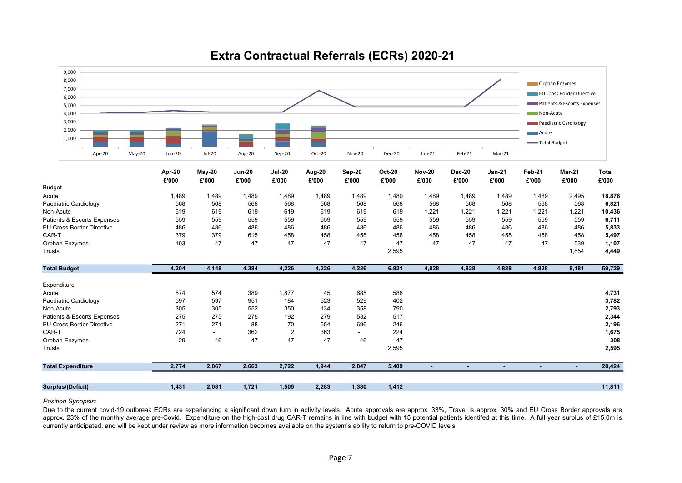

# Extra Contractual Referrals (ECRs) 2020-21

#### Position Synopsis:

Due to the current covid-19 outbreak ECRs are experiencing a significant down turn in activity levels. Acute approvals are approx. 33%, Travel is approx. 30% and EU Cross Border approvals are approx. 23% of the monthly average pre-Covid. Expenditure on the high-cost drug CAR-T remains in line with budget with 15 potential patients identifed at this time. A full year surplus of £15.0m is currently anticipated, and will be kept under review as more information becomes available on the system's ability to return to pre-COVID levels.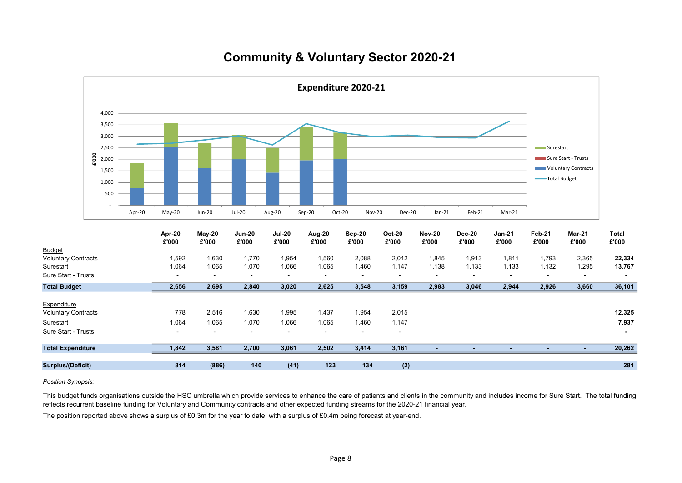# Community & Voluntary Sector 2020-21



Position Synopsis:

This budget funds organisations outside the HSC umbrella which provide services to enhance the care of patients and clients in the community and includes income for Sure Start. The total funding reflects recurrent baseline funding for Voluntary and Community contracts and other expected funding streams for the 2020-21 financial year.

The position reported above shows a surplus of £0.3m for the year to date, with a surplus of £0.4m being forecast at year-end.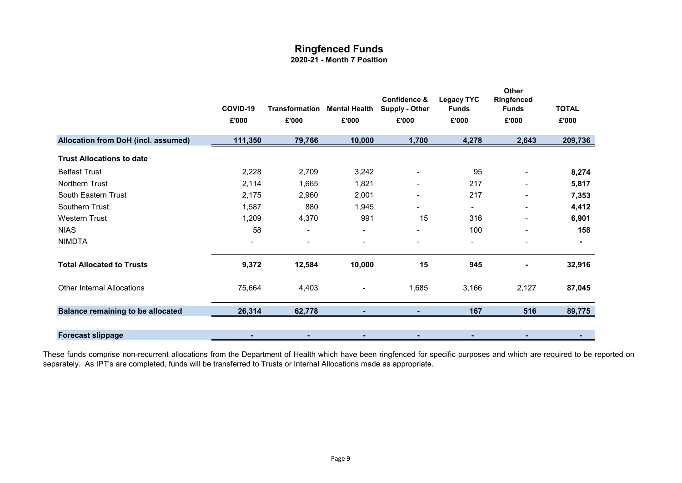# Ringfenced Funds

## 2020-21 - Month 7 Position

|                                          | COVID-19<br>£'000 | <b>Transformation</b><br>£'000 | <b>Mental Health</b><br>£'000 | Confidence &<br><b>Supply - Other</b><br>£'000 | <b>Legacy TYC</b><br><b>Funds</b><br>£'000 | Other<br>Ringfenced<br><b>Funds</b><br>£'000 | <b>TOTAL</b><br>£'000 |
|------------------------------------------|-------------------|--------------------------------|-------------------------------|------------------------------------------------|--------------------------------------------|----------------------------------------------|-----------------------|
| Allocation from DoH (incl. assumed)      | 111,350           | 79,766                         | 10,000                        | 1,700                                          | 4,278                                      | 2,643                                        | 209,736               |
|                                          |                   |                                |                               |                                                |                                            |                                              |                       |
| <b>Trust Allocations to date</b>         |                   |                                |                               |                                                |                                            |                                              |                       |
| <b>Belfast Trust</b>                     | 2,228             | 2,709                          | 3,242                         | ۰                                              | 95                                         | $\blacksquare$                               | 8,274                 |
| <b>Northern Trust</b>                    | 2,114             | 1,665                          | 1,821                         | ۰                                              | 217                                        | ۰                                            | 5,817                 |
| South Eastern Trust                      | 2,175             | 2,960                          | 2,001                         | ٠                                              | 217                                        |                                              | 7,353                 |
| <b>Southern Trust</b>                    | 1,587             | 880                            | 1,945                         |                                                |                                            | ۰                                            | 4,412                 |
| <b>Western Trust</b>                     | 1,209             | 4,370                          | 991                           | 15                                             | 316                                        |                                              | 6,901                 |
| <b>NIAS</b>                              | 58                | $\overline{\phantom{a}}$       | $\blacksquare$                | ۰.                                             | 100                                        | ۰                                            | 158                   |
| <b>NIMDTA</b>                            |                   |                                |                               | ۰                                              | ٠.                                         |                                              |                       |
| <b>Total Allocated to Trusts</b>         | 9,372             | 12,584                         | 10,000                        | 15                                             | 945                                        |                                              | 32,916                |
| <b>Other Internal Allocations</b>        | 75,664            | 4,403                          |                               | 1,685                                          | 3,166                                      | 2,127                                        | 87,045                |
| <b>Balance remaining to be allocated</b> | 26,314            | 62,778                         |                               |                                                | 167                                        | 516                                          | 89,775                |
|                                          |                   |                                |                               |                                                |                                            |                                              |                       |
| <b>Forecast slippage</b>                 |                   |                                |                               |                                                |                                            |                                              |                       |

These funds comprise non-recurrent allocations from the Department of Health which have been ringfenced for specific purposes and which are required to be reported on separately. As IPT's are completed, funds will be transferred to Trusts or Internal Allocations made as appropriate.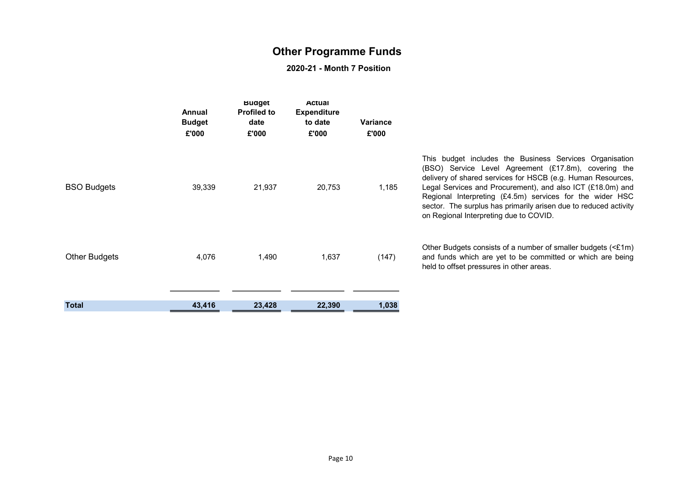# Other Programme Funds

## 2020-21 - Month 7 Position

|                      | Annual<br><b>Budget</b><br>£'000 | <b>Buaget</b><br><b>Profiled to</b><br>date<br>£'000 | Actual<br><b>Expenditure</b><br>to date<br>£'000 | <b>Variance</b><br>£'000 |                                                                                                                                                                                                                                                                                                                                                                                                                        |
|----------------------|----------------------------------|------------------------------------------------------|--------------------------------------------------|--------------------------|------------------------------------------------------------------------------------------------------------------------------------------------------------------------------------------------------------------------------------------------------------------------------------------------------------------------------------------------------------------------------------------------------------------------|
| <b>BSO Budgets</b>   | 39,339                           | 21,937                                               | 20,753                                           | 1,185                    | This budget includes the Business Services Organisation<br>(BSO) Service Level Agreement (£17.8m), covering the<br>delivery of shared services for HSCB (e.g. Human Resources,<br>Legal Services and Procurement), and also ICT (£18.0m) and<br>Regional Interpreting (£4.5m) services for the wider HSC<br>sector. The surplus has primarily arisen due to reduced activity<br>on Regional Interpreting due to COVID. |
| <b>Other Budgets</b> | 4,076                            | 1,490                                                | 1,637                                            | (147)                    | Other Budgets consists of a number of smaller budgets (<£1m)<br>and funds which are yet to be committed or which are being<br>held to offset pressures in other areas.                                                                                                                                                                                                                                                 |
| <b>Total</b>         | 43,416                           | 23,428                                               | 22,390                                           | 1,038                    |                                                                                                                                                                                                                                                                                                                                                                                                                        |